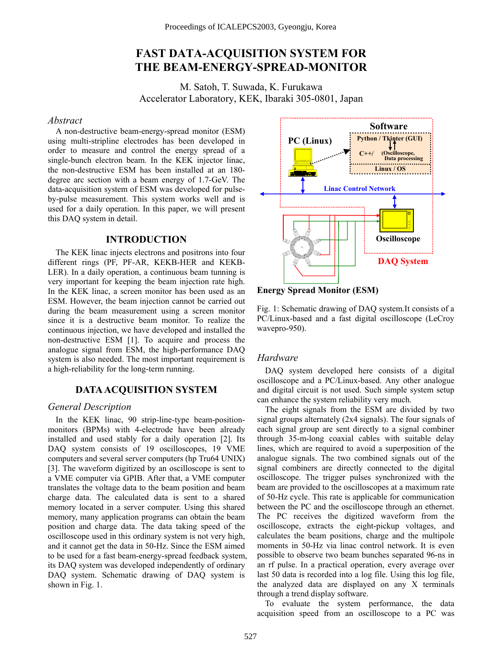# **FAST DATA-ACQUISITION SYSTEM FOR THE BEAM-ENERGY-SPREAD-MONITOR**

M. Satoh, T. Suwada, K. Furukawa Accelerator Laboratory, KEK, Ibaraki 305-0801, Japan

#### *Abstract*

A non-destructive beam-energy-spread monitor (ESM) using multi-stripline electrodes has been developed in order to measure and control the energy spread of a single-bunch electron beam. In the KEK injector linac, the non-destructive ESM has been installed at an 180 degree arc section with a beam energy of 1.7-GeV. The data-acquisition system of ESM was developed for pulseby-pulse measurement. This system works well and is used for a daily operation. In this paper, we will present this DAQ system in detail.

## **INTRODUCTION**

The KEK linac injects electrons and positrons into four different rings (PF, PF-AR, KEKB-HER and KEKB-LER). In a daily operation, a continuous beam tunning is very important for keeping the beam injection rate high. In the KEK linac, a screen monitor has been used as an ESM. However, the beam injection cannot be carried out during the beam measurement using a screen monitor since it is a destructive beam monitor. To realize the continuous injection, we have developed and installed the non-destructive ESM [1]. To acquire and process the analogue signal from ESM, the high-performance DAQ system is also needed. The most important requirement is a high-reliability for the long-term running.

## **DATA ACQUISITION SYSTEM**

In the KEK linac, 90 strip-line-type beam-positionmonitors (BPMs) with 4-electrode have been already installed and used stably for a daily operation [2]. Its DAQ system consists of 19 oscilloscopes, 19 VME computers and several server computers (hp Tru64 UNIX) [3]. The waveform digitized by an oscilloscope is sent to a VME computer via GPIB. After that, a VME computer translates the voltage data to the beam position and beam charge data. The calculated data is sent to a shared memory located in a server computer. Using this shared memory, many application programs can obtain the beam position and charge data. The data taking speed of the oscilloscope used in this ordinary system is not very high, and it cannot get the data in 50-Hz. Since the ESM aimed to be used for a fast beam-energy-spread feedback system, its DAQ system was developed independently of ordinary DAQ system. Schematic drawing of DAQ system is shown in Fig. 1.



#### **Energy Spread Monitor (ESM)**

Fig. 1: Schematic drawing of DAQ system.It consists of a PC/Linux-based and a fast digital oscilloscope (LeCroy wavepro-950).

#### *Hardware*

DAQ system developed here consists of a digital oscilloscope and a PC/Linux-based. Any other analogue and digital circuit is not used. Such simple system setup can enhance the system reliability very much.

*General Description* The eight signals from the ESM are divided by two signal groups alternately (2x4 signals). The four signals of each signal group are sent directly to a signal combiner through 35-m-long coaxial cables with suitable delay lines, which are required to avoid a superposition of the analogue signals. The two combined signals out of the signal combiners are directly connected to the digital oscilloscope. The trigger pulses synchronized with the beam are provided to the oscilloscopes at a maximum rate of 50-Hz cycle. This rate is applicable for communication between the PC and the oscilloscope through an ethernet. The PC receives the digitized waveform from the oscilloscope, extracts the eight-pickup voltages, and calculates the beam positions, charge and the multipole moments in 50-Hz via linac control network. It is even possible to observe two beam bunches separated 96-ns in an rf pulse. In a practical operation, every average over last 50 data is recorded into a log file. Using this log file, the analyzed data are displayed on any X terminals through a trend display software.

> To evaluate the system performance, the data acquisition speed from an oscilloscope to a PC was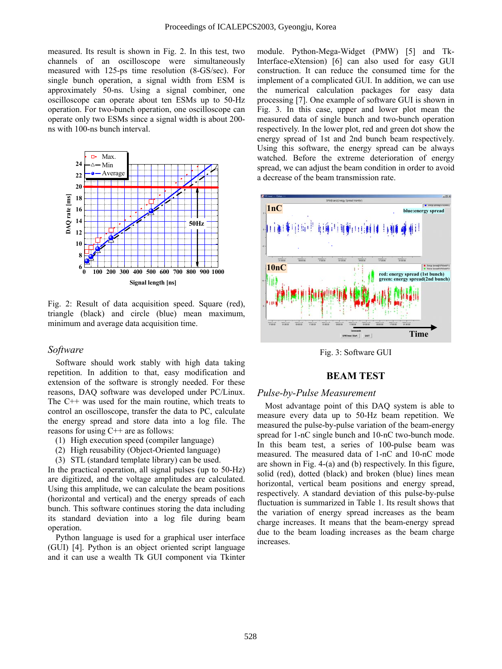measured. Its result is shown in Fig. 2. In this test, two channels of an oscilloscope were simultaneously measured with 125-ps time resolution (8-GS/sec). For single bunch operation, a signal width from ESM is approximately 50-ns. Using a signal combiner, one oscilloscope can operate about ten ESMs up to 50-Hz operation. For two-bunch operation, one oscilloscope can operate only two ESMs since a signal width is about 200 ns with 100-ns bunch interval.



Fig. 2: Result of data acquisition speed. Square (red), triangle (black) and circle (blue) mean maximum, minimum and average data acquisition time.

#### *Software*

Software should work stably with high data taking repetition. In addition to that, easy modification and extension of the software is strongly needed. For these reasons, DAQ software was developed under PC/Linux. The C++ was used for the main routine, which treats to control an oscilloscope, transfer the data to PC, calculate the energy spread and store data into a log file. The reasons for using C++ are as follows:

- (1) High execution speed (compiler language)
- (2) High reusability (Object-Oriented language)
- (3) STL (standard template library) can be used.

In the practical operation, all signal pulses (up to 50-Hz) are digitized, and the voltage amplitudes are calculated. Using this amplitude, we can calculate the beam positions (horizontal and vertical) and the energy spreads of each bunch. This software continues storing the data including its standard deviation into a log file during beam operation.

Python language is used for a graphical user interface (GUI) [4]. Python is an object oriented script language and it can use a wealth Tk GUI component via Tkinter

module. Python-Mega-Widget (PMW) [5] and Tk-Interface-eXtension) [6] can also used for easy GUI construction. It can reduce the consumed time for the implement of a complicated GUI. In addition, we can use the numerical calculation packages for easy data processing [7]. One example of software GUI is shown in Fig. 3. In this case, upper and lower plot mean the measured data of single bunch and two-bunch operation respectively. In the lower plot, red and green dot show the energy spread of 1st and 2nd bunch beam respectively. Using this software, the energy spread can be always watched. Before the extreme deterioration of energy spread, we can adjust the beam condition in order to avoid a decrease of the beam transmission rate.



Fig. 3: Software GUI

## **BEAM TEST**

## *Pulse-by-Pulse Measurement*

Most advantage point of this DAQ system is able to measure every data up to 50-Hz beam repetition. We measured the pulse-by-pulse variation of the beam-energy spread for 1-nC single bunch and 10-nC two-bunch mode. In this beam test, a series of 100-pulse beam was measured. The measured data of 1-nC and 10-nC mode are shown in Fig. 4-(a) and (b) respectively. In this figure, solid (red), dotted (black) and broken (blue) lines mean horizontal, vertical beam positions and energy spread, respectively. A standard deviation of this pulse-by-pulse fluctuation is summarized in Table 1. Its result shows that the variation of energy spread increases as the beam charge increases. It means that the beam-energy spread due to the beam loading increases as the beam charge increases.